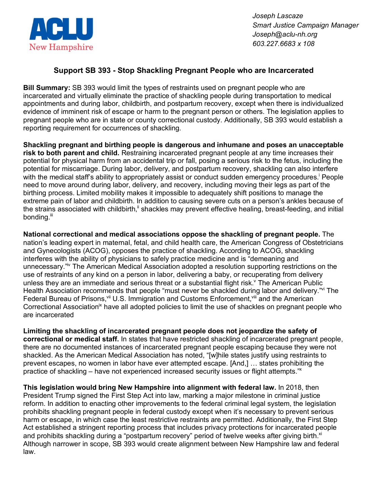

*Joseph Lascaze Smart Justice Campaign Manager Joseph@aclu-nh.org 603.227.6683 x 108*

## **Support SB 393 - Stop Shackling Pregnant People who are Incarcerated**

**Bill Summary:** SB 393 would limit the types of restraints used on pregnant people who are incarcerated and virtually eliminate the practice of shackling people during transportation to medical appointments and during labor, childbirth, and postpartum recovery, except when there is individualized evidence of imminent risk of escape or harm to the pregnant person or others. The legislation applies to pregnant people who are in state or county correctional custody. Additionally, SB 393 would establish a reporting requirement for occurrences of shackling.

**Shackling pregnant and birthing people is dangerous and inhumane and poses an unacceptable risk to both parent and child.** Restraining incarcerated pregnant people at any time increases their potential for physical harm from an accidental trip or fall, posing a serious risk to the fetus, including the potential for miscarriage. During labor, delivery, and postpartum recovery, shackling can also interfere with the medical staff's ability to appropriately assist or conduct sudden emergency procedures.<sup>i</sup> People need to move around during labor, delivery, and recovery, including moving their legs as part of the birthing process. Limited mobility makes it impossible to adequately shift positions to manage the extreme pain of labor and childbirth. In addition to causing severe cuts on a person's ankles because of the strains associated with childbirth, $\mathbf{I}^{\text{in}}$  shackles may prevent effective healing, breast-feeding, and initial bonding.<sup>iii</sup>

**National correctional and medical associations oppose the shackling of pregnant people.** The nation's leading expert in maternal, fetal, and child health care, the American Congress of Obstetricians and Gynecologists (ACOG), opposes the practice of shackling. According to ACOG, shackling interferes with the ability of physicians to safely practice medicine and is "demeaning and unnecessary."iv The American Medical Association adopted a resolution supporting restrictions on the use of restraints of any kind on a person in labor, delivering a baby, or recuperating from delivery unless they are an immediate and serious threat or a substantial flight risk. The American Public Health Association recommends that people "must never be shackled during labor and delivery."vi The Federal Bureau of Prisons, vii U.S. Immigration and Customs Enforcement, vili and the American Correctional Association<sup>ix</sup> have all adopted policies to limit the use of shackles on pregnant people who are incarcerated

**Limiting the shackling of incarcerated pregnant people does not jeopardize the safety of correctional or medical staff.** In states that have restricted shackling of incarcerated pregnant people, there are no documented instances of incarcerated pregnant people escaping because they were not shackled. As the American Medical Association has noted, "[w]hile states justify using restraints to prevent escapes, no women in labor have ever attempted escape. [And,] … states prohibiting the practice of shackling – have not experienced increased security issues or flight attempts."

**This legislation would bring New Hampshire into alignment with federal law.** In 2018, then President Trump signed the First Step Act into law, marking a major milestone in criminal justice reform. In addition to enacting other improvements to the federal criminal legal system, the legislation prohibits shackling pregnant people in federal custody except when it's necessary to prevent serious harm or escape, in which case the least restrictive restraints are permitted. Additionally, the First Step Act established a stringent reporting process that includes privacy protections for incarcerated people and prohibits shackling during a "postpartum recovery" period of twelve weeks after giving birth. $x<sup>i</sup>$ Although narrower in scope, SB 393 would create alignment between New Hampshire law and federal law.